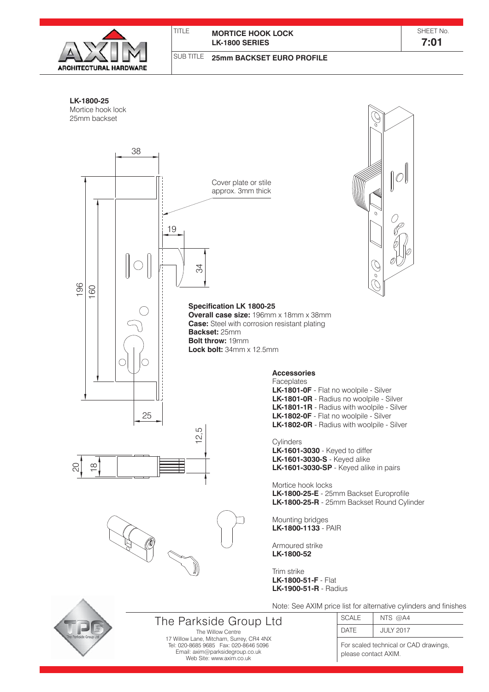

## TITLE **MORTICE HOOK LOCK LK-1800 SERIES**

SHEET No. **7:01**

SUB TITLE **25mm BACKSET EURO PROFILE**



Web Site: www.axim.co.uk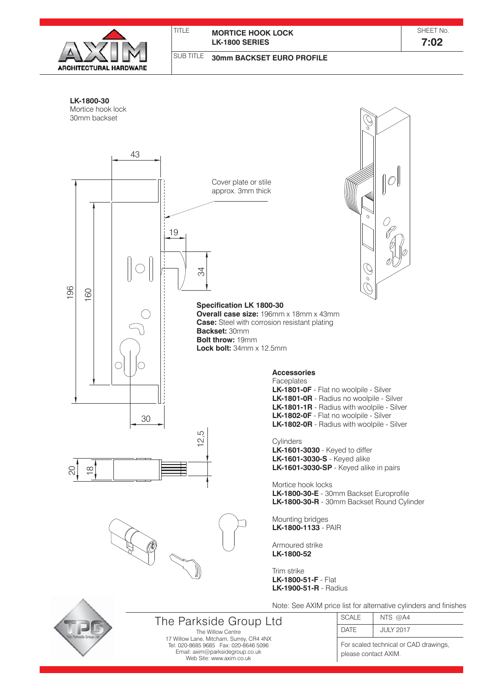

## **MORTICE HOOK LOCK LK-1800 SERIES**

TITLE

SHEET No.

**7:02**

#### SUB TITLE **30mm BACKSET EURO PROFILE**

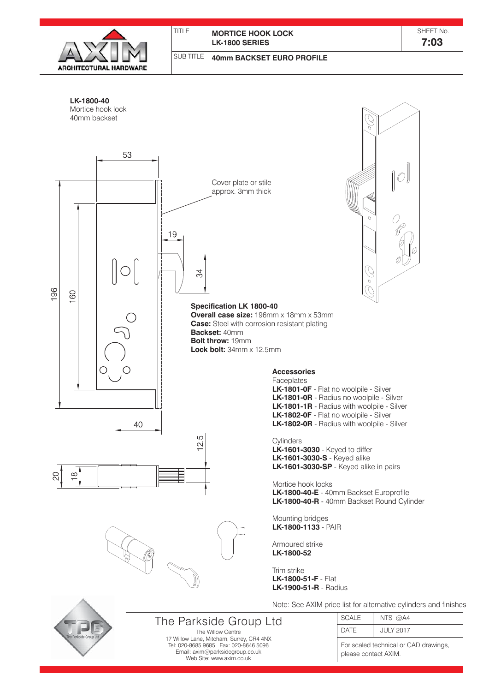

### TITLE **MORTICE HOOK LOCK LK-1800 SERIES**

SHEET No. **7:03**

#### SUB TITLE **40mm BACKSET EURO PROFILE**

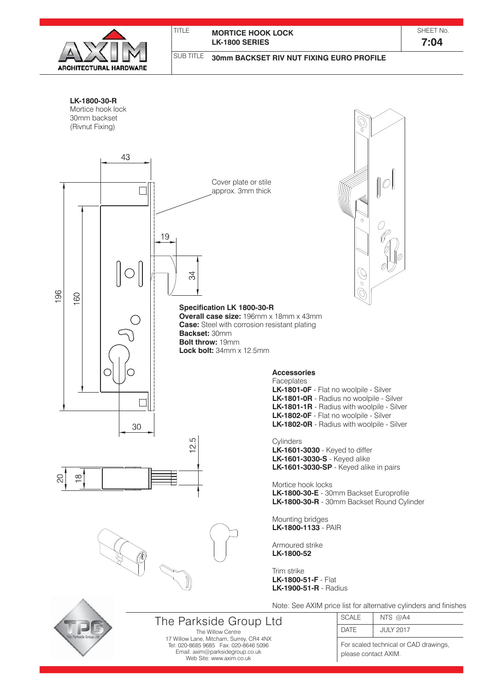

## **MORTICE HOOK LOCK LK-1800 SERIES**

SHEET No. **7:04**

SUB TITLE

TITLE

# **30mm BACKSET RIV NUT FIXING EURO PROFILE**

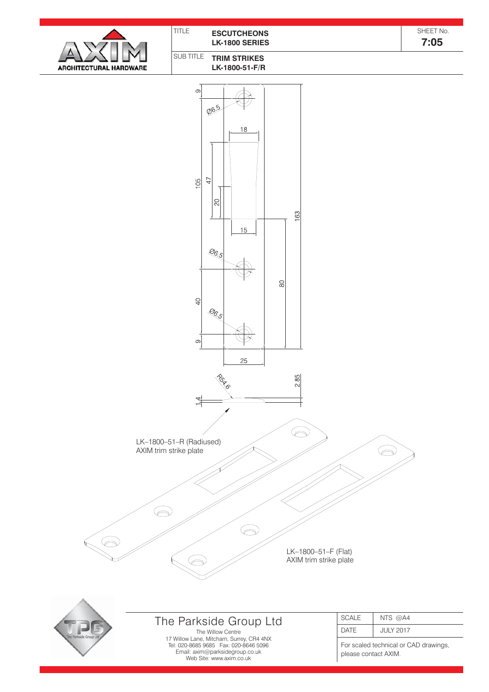